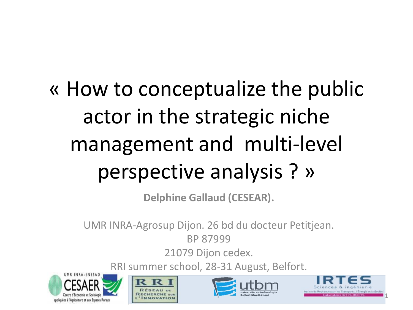# « How to conceptualize the public actor in the strategic niche management and multi-level perspective analysis ? »

**Delphine Gallaud (CESEAR).**

UMR INRA-Agrosup Dijon. 26 bd du docteur Petitjean.

BP 87999

21079 Dijon cedex.

RRI summer school, 28-31 August, Belfort.







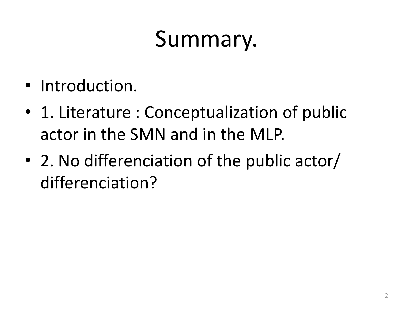# Summary.

- Introduction.
- 1. Literature : Conceptualization of public actor in the SMN and in the MLP.
- 2. No differenciation of the public actor/ differenciation?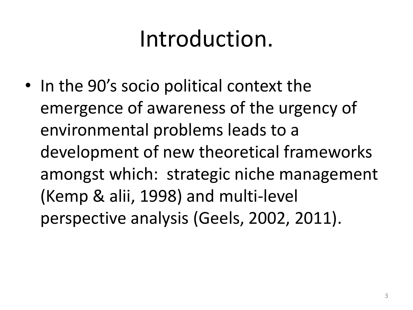# Introduction.

• In the 90's socio political context the emergence of awareness of the urgency of environmental problems leads to a development of new theoretical frameworks amongst which: strategic niche management (Kemp & alii, 1998) and multi-level perspective analysis (Geels, 2002, 2011).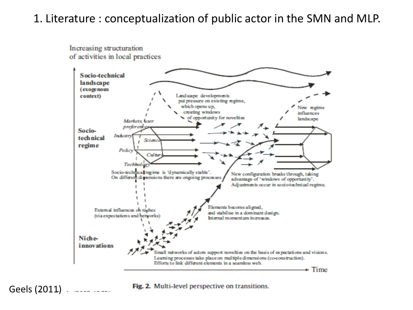## 1. Literature : conceptualization of public actor in the SMN and MLP.

#### Increasing structuration of activities in local practices



Geels (2011)

Fig. 2. Multi-level perspective on transitions.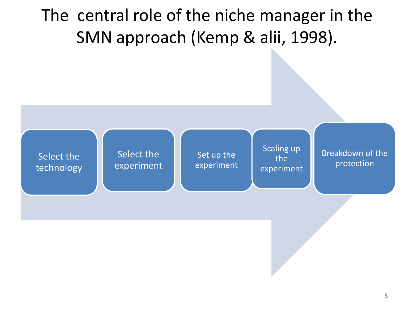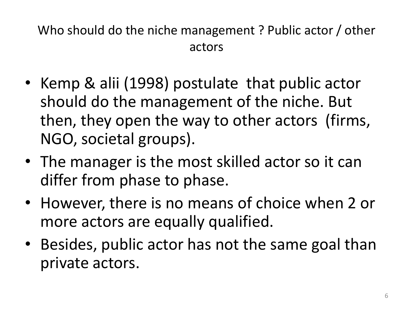Who should do the niche management ? Public actor / other actors

- Kemp & alii (1998) postulate that public actor should do the management of the niche. But then, they open the way to other actors (firms, NGO, societal groups).
- The manager is the most skilled actor so it can differ from phase to phase.
- However, there is no means of choice when 2 or more actors are equally qualified.
- Besides, public actor has not the same goal than private actors.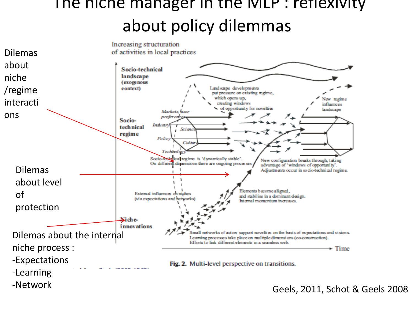## The niche manager in the MLP : reflexivity about policy dilemmas



Geels, 2011, Schot & Geels 2008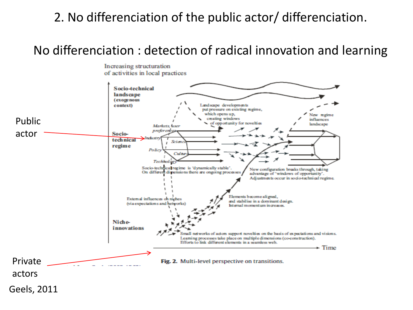## 2. No differenciation of the public actor/ differenciation.

## No differenciation : detection of radical innovation and learning

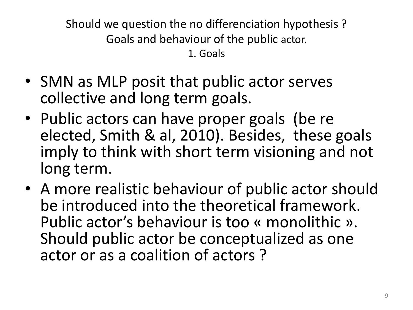Should we question the no differenciation hypothesis ? Goals and behaviour of the public actor. 1. Goals

- SMN as MLP posit that public actor serves collective and long term goals.
- Public actors can have proper goals (be re elected, Smith & al, 2010). Besides, these goals imply to think with short term visioning and not long term.
- A more realistic behaviour of public actor should be introduced into the theoretical framework. Public actor's behaviour is too « monolithic ». Should public actor be conceptualized as one actor or as a coalition of actors ?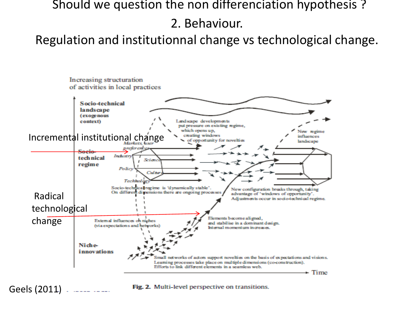### Should we question the non differenciation hypothesis ?

2. Behaviour.

Regulation and institutionnal change vs technological change.



Geels (2011)

Fig. 2. Multi-level perspective on transitions.